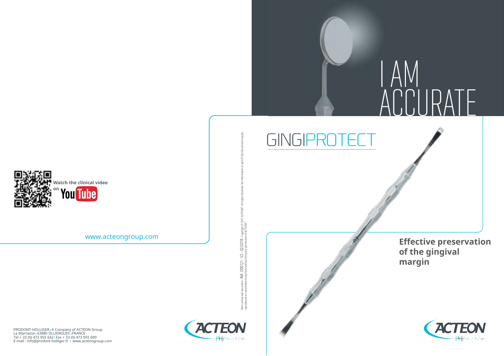

www.acteongroup.com

PRODONT-HOLLIGER|A Company of ACTEON Group<br>La Marnasse 163880 OLLIERGUES|FRANCE<br>Tel + 33 (0) 473 955 642|Fax + 33 (0) 473 955 699<br>E-mail : info@prodont-holliger.fr | www.acteongroup.com



Non contractual document - Ref. D00121 - V2 - 02/2018 - Copyright © 2017 ACTEON®. All rights reserved. No information or part of this document may be

Non contractual document - Ref. DO0121 - V2 - 02/2018 - copyright @ 2017 ACTEON®.<br>reproduced or transmitted in any form without the prior permission of ACTEON®. reproduced or transmitted in any form without the prior permission of ACTEON®. I AM ACCURATE

GINGIPR

**Effective preservation of the gingival margin**